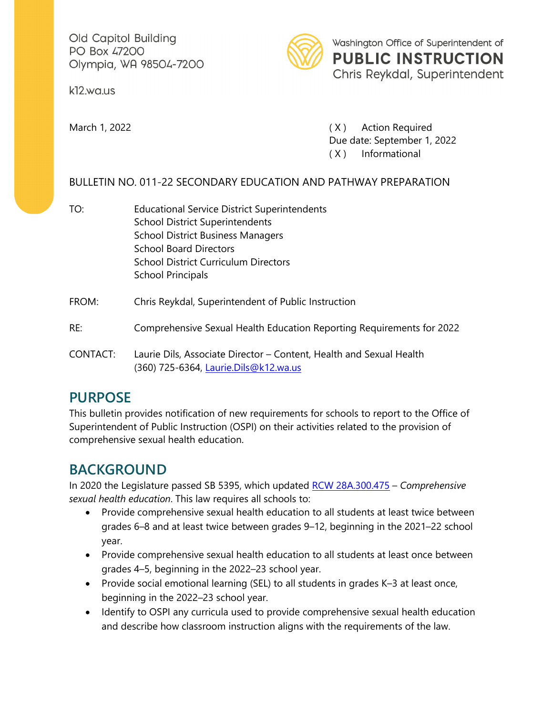Old Capitol Building PO Box 47200 Olympia, WA 98504-7200

kl2.wa.us



Washington Office of Superintendent of **PUBLIC INSTRUCTION**  Chris Reykdal, Superintendent

March 1, 2022 **March 1, 2022 (X)** Action Required Due date: September 1, 2022 ( X ) Informational

### BULLETIN NO. 011-22 SECONDARY EDUCATION AND PATHWAY PREPARATION

TO: **Educational Service District Superintendents** School District Superintendents School District Business Managers School Board Directors School District Curriculum Directors School Principals

#### FROM: Chris Reykdal, Superintendent of Public Instruction

#### RE: Comprehensive Sexual Health Education Reporting Requirements for 2022

CONTACT: Laurie Dils, Associate Director – Content, Health and Sexual Health (360) 725-6364, [Laurie.Dils@k12.wa.us](mailto:Laurie.Dils@k12.wa.us) 

## **PURPOSE**

This bulletin provides notification of new requirements for schools to report to the Office of Superintendent of Public Instruction (OSPI) on their activities related to the provision of comprehensive sexual health education.

## **BACKGROUND**

 In 2020 the Legislature passed SB 5395, which updated [RCW 28A.300.475](https://apps.leg.wa.gov/rcw/default.aspx?cite=28A.300.475) – *Comprehensive sexual health education*. This law requires all schools to:

- Provide comprehensive sexual health education to all students at least twice between grades 6–8 and at least twice between grades 9–12, beginning in the 2021–22 school year.
- Provide comprehensive sexual health education to all students at least once between grades 4–5, beginning in the 2022–23 school year.
- Provide social emotional learning (SEL) to all students in grades K–3 at least once, beginning in the 2022–23 school year.
- Identify to OSPI any curricula used to provide comprehensive sexual health education and describe how classroom instruction aligns with the requirements of the law.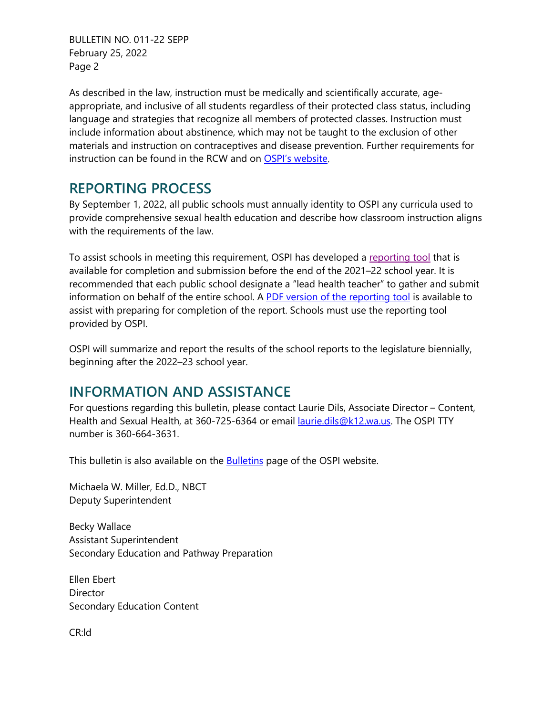BULLETIN NO. 011-22 SEPP February 25, 2022 Page 2

 language and strategies that recognize all members of protected classes. Instruction must As described in the law, instruction must be medically and scientifically accurate, ageappropriate, and inclusive of all students regardless of their protected class status, including include information about abstinence, which may not be taught to the exclusion of other materials and instruction on contraceptives and disease prevention. Further requirements for instruction can be found in the RCW and on [OSPI's website.](https://www.k12.wa.us/student-success/resources-subject-area/sexual-health-education/comprehensive-sexual-health-education-implementation)

# **REPORTING PROCESS**

By September 1, 2022, all public schools must annually identity to OSPI any curricula used to provide comprehensive sexual health education and describe how classroom instruction aligns with the requirements of the law.

To assist schools in meeting this requirement, OSPI has developed a [reporting tool](https://survey.alchemer.com/s3/6355820/CSHE-Reporting-Survey) that is available for completion and submission before the end of the 2021–22 school year. It is recommended that each public school designate a "lead health teacher" to gather and submit information on behalf of the entire school. [A PDF version of the reporting tool](https://www.k12.wa.us/sites/default/files/public/hivsexualhealth/pubdocs/CSHE%20Reporting%20Survey%20PDF.pdf) is available to assist with preparing for completion of the report. Schools must use the reporting tool provided by OSPI.

OSPI will summarize and report the results of the school reports to the legislature biennially, beginning after the 2022–23 school year.

# **INFORMATION AND ASSISTANCE**

 For questions regarding this bulletin, please contact Laurie Dils, Associate Director – Content, Health and Sexual Health, at 360-725-6364 or email laurie.dils@k12.wa.us. The OSPI TTY number is 360-664-3631.

This bulletin is also available on the **Bulletins** page of the OSPI website.

Michaela W. Miller, Ed.D., NBCT Deputy Superintendent

 Becky Wallace Assistant Superintendent Secondary Education and Pathway Preparation

**Director** Ellen Ebert Secondary Education Content

CR:ld